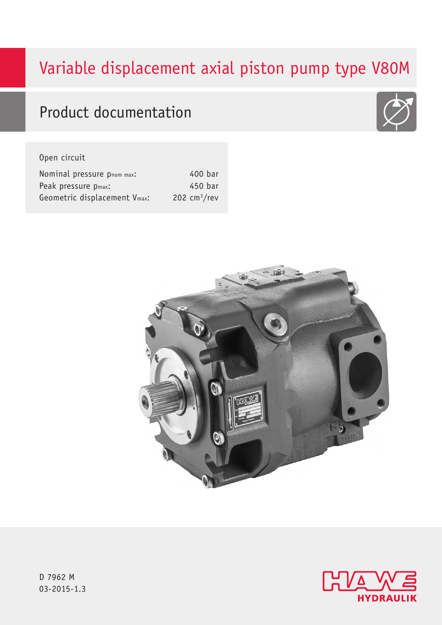# Variable displacement axial piston pump type V80M

# Product documentation

## Open circuit

| Nominal pressure pnom max:   | 400 bar       |
|------------------------------|---------------|
| Peak pressure pmax:          | 450 bar       |
| Geometric displacement Vmax: | 202 $cm3/rev$ |







D 7962 M 03-2015-1.3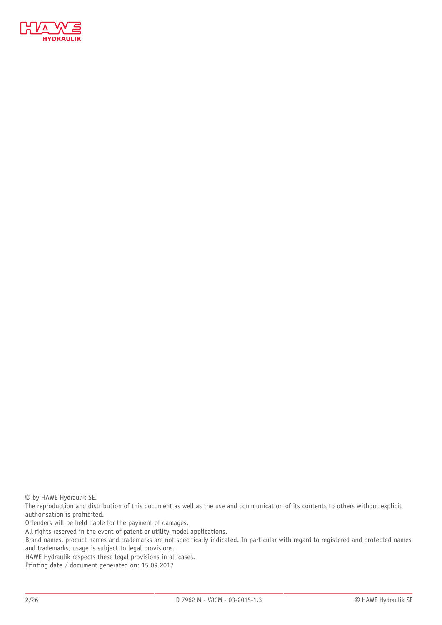

© by HAWE Hydraulik SE.

The reproduction and distribution of this document as well as the use and communication of its contents to others without explicit authorisation is prohibited.

Offenders will be held liable for the payment of damages.

All rights reserved in the event of patent or utility model applications.

Brand names, product names and trademarks are not specifically indicated. In particular with regard to registered and protected names and trademarks, usage is subject to legal provisions.

HAWE Hydraulik respects these legal provisions in all cases.

Printing date / document generated on: 15.09.2017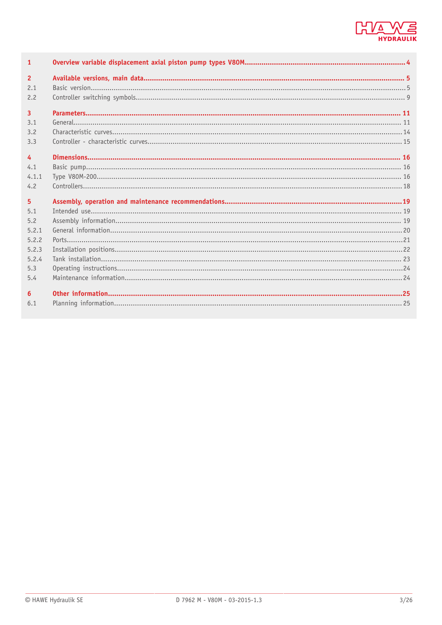

| $\mathbf{1}$   |  |
|----------------|--|
| $\overline{2}$ |  |
| 2.1            |  |
| 2.2            |  |
| $\overline{3}$ |  |
| 3.1            |  |
| 3.2            |  |
| 3.3            |  |
|                |  |
| 4              |  |
| 4.1            |  |
| 4.1.1          |  |
| 4.2            |  |
| 5              |  |
| 5.1            |  |
| 5.2            |  |
| 5.2.1          |  |
| 5.2.2          |  |
| 5.2.3          |  |
| 5.2.4          |  |
| 5.3            |  |
| 5.4            |  |
| 6              |  |
| 6.1            |  |
|                |  |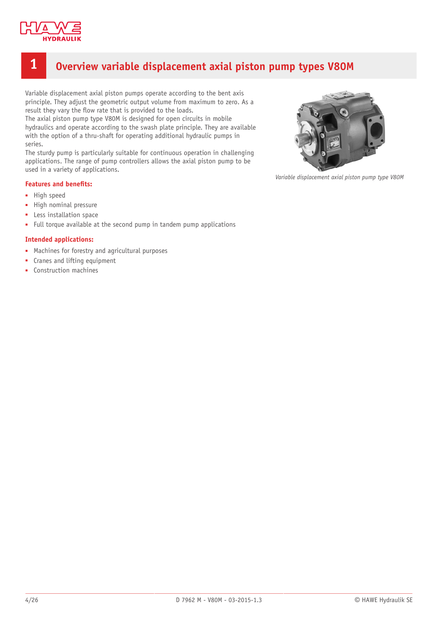

## <span id="page-3-0"></span>**1 Overview variable displacement axial piston pump types V80M**

Variable displacement axial piston pumps operate according to the bent axis principle. They adjust the geometric output volume from maximum to zero. As a result they vary the flow rate that is provided to the loads.

The axial piston pump type V80M is designed for open circuits in mobile hydraulics and operate according to the swash plate principle. They are available with the option of a thru-shaft for operating additional hydraulic pumps in series.

The sturdy pump is particularly suitable for continuous operation in challenging applications. The range of pump controllers allows the axial piston pump to be used in a variety of applications.

#### **Features and benefits:**

- High speed
- High nominal pressure
- Less installation space
- Full torque available at the second pump in tandem pump applications

#### **Intended applications:**

- Machines for forestry and agricultural purposes
- Cranes and lifting equipment
- Construction machines



*Variable displacement axial piston pump type V80M*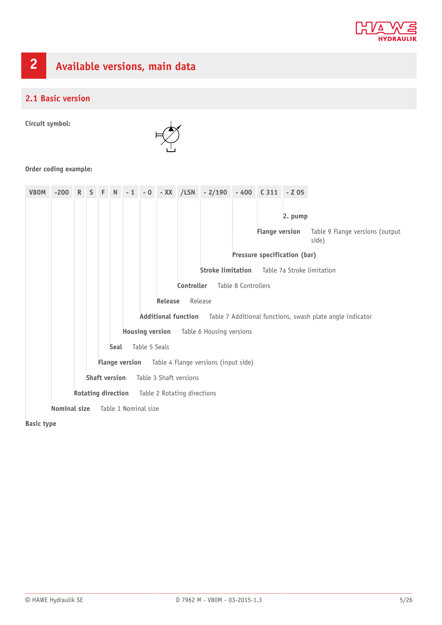

# <span id="page-4-0"></span>**2 Available versions, main data**

## <span id="page-4-1"></span>**2.1 Basic version**

**Circuit symbol:**



#### **Order coding example:**

| <b>V80M</b> | $-200$                                                     |  |  |                                                 |      |  |               |                |                            | R S F N -1 -0 -XX /LSN -2/190 |                     | $-400$ $C311$         | $-205$                       |                                                           |
|-------------|------------------------------------------------------------|--|--|-------------------------------------------------|------|--|---------------|----------------|----------------------------|-------------------------------|---------------------|-----------------------|------------------------------|-----------------------------------------------------------|
|             |                                                            |  |  |                                                 |      |  |               |                |                            |                               |                     |                       |                              |                                                           |
|             |                                                            |  |  |                                                 |      |  |               |                |                            |                               |                     |                       | 2. pump                      |                                                           |
|             |                                                            |  |  |                                                 |      |  |               |                |                            |                               |                     | <b>Flange version</b> |                              | Table 9 Flange versions (output<br>side)                  |
|             |                                                            |  |  |                                                 |      |  |               |                |                            |                               |                     |                       | Pressure specification (bar) |                                                           |
|             |                                                            |  |  |                                                 |      |  |               |                |                            | <b>Stroke limitation</b>      |                     |                       |                              | Table 7a Stroke limitation                                |
|             |                                                            |  |  |                                                 |      |  |               |                | Controller                 |                               | Table 8 Controllers |                       |                              |                                                           |
|             |                                                            |  |  |                                                 |      |  |               | <b>Release</b> |                            | Release                       |                     |                       |                              |                                                           |
|             |                                                            |  |  |                                                 |      |  |               |                | <b>Additional function</b> |                               |                     |                       |                              | Table 7 Additional functions, swash plate angle indicator |
|             |                                                            |  |  | <b>Housing version</b> Table 6 Housing versions |      |  |               |                |                            |                               |                     |                       |                              |                                                           |
|             |                                                            |  |  |                                                 | Seal |  | Table 5 Seals |                |                            |                               |                     |                       |                              |                                                           |
|             | <b>Flange version</b> Table 4 Flange versions (input side) |  |  |                                                 |      |  |               |                |                            |                               |                     |                       |                              |                                                           |
|             | <b>Shaft version</b><br>Table 3 Shaft versions             |  |  |                                                 |      |  |               |                |                            |                               |                     |                       |                              |                                                           |
|             | <b>Rotating direction</b><br>Table 2 Rotating directions   |  |  |                                                 |      |  |               |                |                            |                               |                     |                       |                              |                                                           |
|             | Nominal size<br>Table 1 Nominal size                       |  |  |                                                 |      |  |               |                |                            |                               |                     |                       |                              |                                                           |

**Basic type**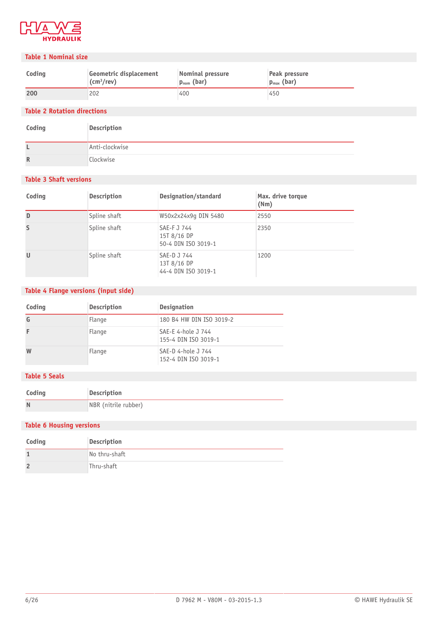

#### **Table 1 Nominal size**

| Coding | Geometric displacement     | Nominal pressure | Peak pressure   |
|--------|----------------------------|------------------|-----------------|
|        | $\text{(cm}^3\text{/rev)}$ | $p_{nom}$ (bar)  | $p_{max}$ (bar) |
| 200    | 202                        | 400              | 450             |

#### **Table 2 Rotation directions**

| Coding | Description    |
|--------|----------------|
|        | Anti-clockwise |
| R      | Clockwise      |

#### **Table 3 Shaft versions**

| Coding | Description  | Designation/standard                              | Max. drive torque<br>(Nm) |
|--------|--------------|---------------------------------------------------|---------------------------|
| D      | Spline shaft | W50x2x24x9q DIN 5480                              | 2550                      |
| S      | Spline shaft | SAE-F J 744<br>15T 8/16 DP<br>50-4 DIN ISO 3019-1 | 2350                      |
| $\cup$ | Spline shaft | SAE-D J 744<br>13T 8/16 DP<br>44-4 DIN ISO 3019-1 | 1200                      |

### **Table 4 Flange versions (input side)**

| Coding | <b>Description</b> | <b>Designation</b>                         |
|--------|--------------------|--------------------------------------------|
|        | Flange             | 180 B4 HW DIN ISO 3019-2                   |
|        | Flange             | SAE-E 4-hole J 744<br>155-4 DIN ISO 3019-1 |
| W      | Flange             | SAE-D 4-hole J 744<br>152-4 DIN ISO 3019-1 |

#### **Table 5 Seals**

| Coding | Description          |
|--------|----------------------|
| N      | NBR (nitrile rubber) |

#### **Table 6 Housing versions**

| Coding | Description   |
|--------|---------------|
|        | No thru-shaft |
|        | Thru-shaft    |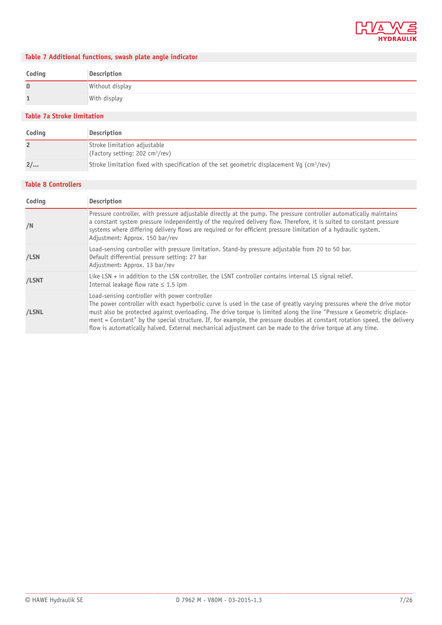

## **Table 7 Additional functions, swash plate angle indicator**

| Coding      | Description     |
|-------------|-----------------|
| $\mathbf 0$ | Without display |
|             | With display    |

#### **Table 7a Stroke limitation**

| Coding | Description                                                                                                  |
|--------|--------------------------------------------------------------------------------------------------------------|
|        | Stroke limitation adjustable<br>(Factory setting: 202 $cm^3$ /rev)                                           |
| 2/     | Stroke limitation fixed with specification of the set geometric displacement Vg ( $\text{cm}^3/\text{rev}$ ) |

#### **Table 8 Controllers**

| Coding | <b>Description</b>                                                                                                                                                                                                                                                                                                                                                                                                                                                                                                                           |
|--------|----------------------------------------------------------------------------------------------------------------------------------------------------------------------------------------------------------------------------------------------------------------------------------------------------------------------------------------------------------------------------------------------------------------------------------------------------------------------------------------------------------------------------------------------|
| /N     | Pressure controller, with pressure adjustable directly at the pump. The pressure controller automatically maintains<br>a constant system pressure independently of the required delivery flow. Therefore, it is suited to constant pressure<br>systems where differing delivery flows are required or for efficient pressure limitation of a hydraulic system.<br>Adjustment: Approx. 150 bar/rev                                                                                                                                            |
| /LSN   | Load-sensing controller with pressure limitation. Stand-by pressure adjustable from 20 to 50 bar.<br>Default differential pressure setting: 27 bar<br>Adjustment: Approx. 13 bar/rev                                                                                                                                                                                                                                                                                                                                                         |
| /LSNT  | Like LSN $+$ in addition to the LSN controller, the LSNT controller contains internal LS signal relief.<br>Internal leakage flow rate $\leq 1.5$ lpm                                                                                                                                                                                                                                                                                                                                                                                         |
| /LSNL  | Load-sensing controller with power controller<br>The power controller with exact hyperbolic curve is used in the case of greatly varying pressures where the drive motor<br>must also be protected against overloading. The drive torque is limited along the line "Pressure x Geometric displace-<br>ment = Constant" by the special structure. If, for example, the pressure doubles at constant rotation speed, the delivery<br>flow is automatically halved. External mechanical adjustment can be made to the drive torque at any time. |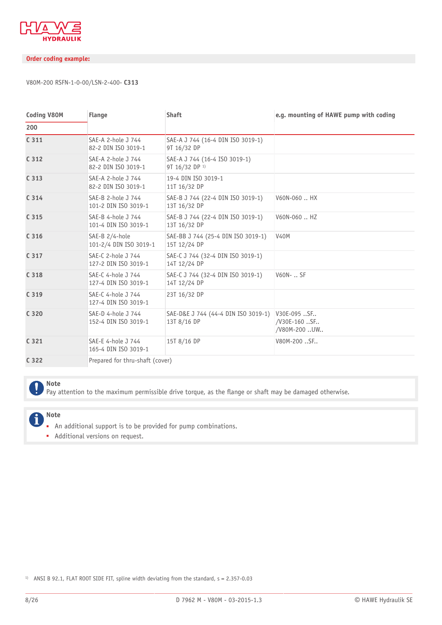

#### **Order coding example:**

#### V80M-200 RSFN-1-0-00/LSN-2-400- **C313**

| <b>Coding V80M</b> | <b>Flange</b>                              | <b>Shaft</b>                                               | e.g. mounting of HAWE pump with coding      |
|--------------------|--------------------------------------------|------------------------------------------------------------|---------------------------------------------|
| 200                |                                            |                                                            |                                             |
| C 311              | SAE-A 2-hole J 744<br>82-2 DIN ISO 3019-1  | SAE-A J 744 (16-4 DIN ISO 3019-1)<br>9T 16/32 DP           |                                             |
| C <sub>312</sub>   | SAE-A 2-hole J 744<br>82-2 DIN ISO 3019-1  | SAE-A J 744 (16-4 ISO 3019-1)<br>9T 16/32 DP <sup>1)</sup> |                                             |
| C <sub>313</sub>   | SAE-A 2-hole J 744<br>82-2 DIN ISO 3019-1  | 19-4 DIN ISO 3019-1<br>11T 16/32 DP                        |                                             |
| C <sub>314</sub>   | SAE-B 2-hole J 744<br>101-2 DIN ISO 3019-1 | SAE-B J 744 (22-4 DIN ISO 3019-1)<br>13T 16/32 DP          | V60N-060  HX                                |
| C <sub>315</sub>   | SAE-B 4-hole J 744<br>101-4 DIN ISO 3019-1 | SAE-B J 744 (22-4 DIN ISO 3019-1)<br>13T 16/32 DP          | V60N-060  HZ                                |
| C 316              | SAE-B 2/4-hole<br>101-2/4 DIN ISO 3019-1   | SAE-BB J 744 (25-4 DIN ISO 3019-1)<br>15T 12/24 DP         | <b>V40M</b>                                 |
| C 317              | SAE-C 2-hole J 744<br>127-2 DIN ISO 3019-1 | SAE-C J 744 (32-4 DIN ISO 3019-1)<br>14T 12/24 DP          |                                             |
| C 318              | SAE-C 4-hole J 744<br>127-4 DIN ISO 3019-1 | SAE-C J 744 (32-4 DIN ISO 3019-1)<br>14T 12/24 DP          | V60N-  SF                                   |
| C <sub>319</sub>   | SAE-C 4-hole J 744<br>127-4 DIN ISO 3019-1 | 23T 16/32 DP                                               |                                             |
| C 320              | SAE-D 4-hole J 744<br>152-4 DIN ISO 3019-1 | SAE-D&E J 744 (44-4 DIN ISO 3019-1)<br>13T 8/16 DP         | V30E-095 SF<br>/V30E-160 SF<br>/V80M-200.UW |
| C <sub>321</sub>   | SAE-E 4-hole J 744<br>165-4 DIN ISO 3019-1 | 15T 8/16 DP                                                | V80M-200 SF                                 |
| C 322              | Prepared for thru-shaft (cover)            |                                                            |                                             |

#### **Note**

Pay attention to the maximum permissible drive torque, as the flange or shaft may be damaged otherwise.

#### **Note** Î

- An additional support is to be provided for pump combinations.
- Additional versions on request.

<sup>1)</sup> ANSI B 92.1, FLAT ROOT SIDE FIT, spline width deviating from the standard,  $s = 2.357 - 0.03$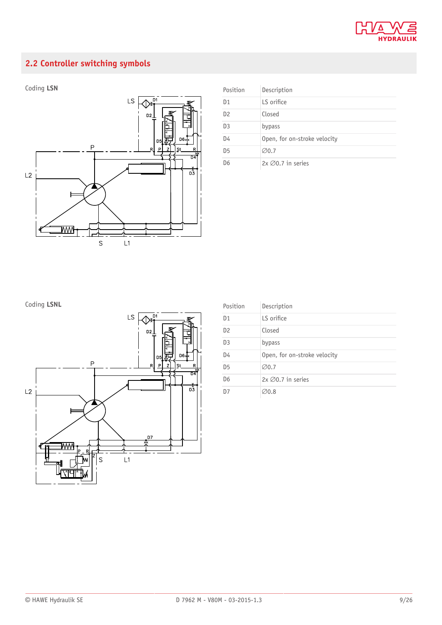

## <span id="page-8-0"></span>**2.2 Controller switching symbols**



| Position       | Description                  |
|----------------|------------------------------|
| D <sub>1</sub> | LS orifice                   |
| D <sub>2</sub> | Closed                       |
| D <sub>3</sub> | bypass                       |
| D4             | Open, for on-stroke velocity |
| D <sub>5</sub> | $\varnothing$ 0.7            |
| D <sub>6</sub> | $2x \oslash 0.7$ in series   |

## **Coding LSNL**



| Position       | Description                  |
|----------------|------------------------------|
| D <sub>1</sub> | LS orifice                   |
| D <sub>2</sub> | Closed                       |
| D <sub>3</sub> | bypass                       |
| D4             | Open, for on-stroke velocity |
| D <sub>5</sub> | $\emptyset$ 0.7              |
| D <sub>6</sub> | $2x \oslash 0.7$ in series   |
| D7             | $\varnothing$ 0.8            |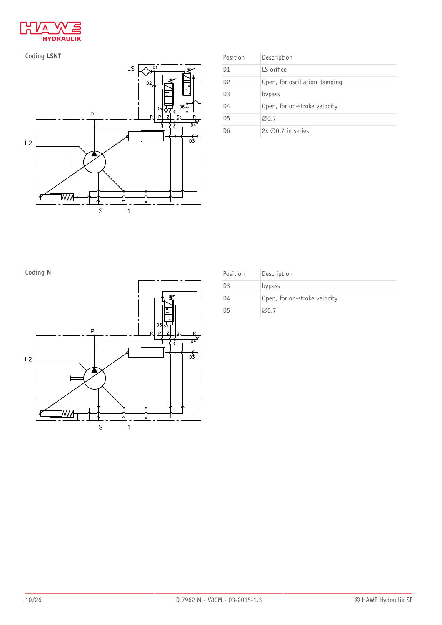



| Position       | Description                   |
|----------------|-------------------------------|
| D <sub>1</sub> | LS orifice                    |
| D <sub>2</sub> | Open, for oscillation damping |
| D <sub>3</sub> | bypass                        |
| D4             | Open, for on-stroke velocity  |
| D <sub>5</sub> | $\varnothing$ 0.7             |
| D6             | $2x \oslash 0.7$ in series    |



| Coding N |          | Position       | Description                  |
|----------|----------|----------------|------------------------------|
|          |          | D <sub>3</sub> | bypass                       |
|          |          | D4             | Open, for on-stroke velocity |
|          | 临<br>ΙFΓ | D <sub>5</sub> | $\emptyset$ 0.7              |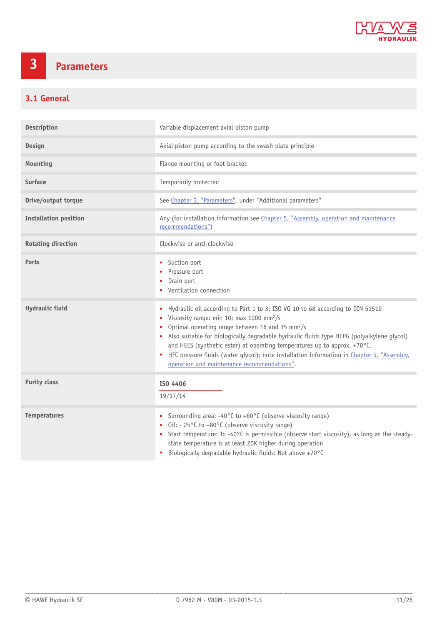

# <span id="page-10-0"></span>**3 Parameters**

## <span id="page-10-1"></span>**3.1 General**

| Description                  | Variable displacement axial piston pump                                                                                                                                                                                                                                                                                                                                                                                                                                                                                              |
|------------------------------|--------------------------------------------------------------------------------------------------------------------------------------------------------------------------------------------------------------------------------------------------------------------------------------------------------------------------------------------------------------------------------------------------------------------------------------------------------------------------------------------------------------------------------------|
| Design                       | Axial piston pump according to the swash plate principle                                                                                                                                                                                                                                                                                                                                                                                                                                                                             |
| Mounting                     | Flange mounting or foot bracket                                                                                                                                                                                                                                                                                                                                                                                                                                                                                                      |
| <b>Surface</b>               | Temporarily protected                                                                                                                                                                                                                                                                                                                                                                                                                                                                                                                |
| Drive/output torque          | See Chapter 3, "Parameters", under "Additional parameters"                                                                                                                                                                                                                                                                                                                                                                                                                                                                           |
| <b>Installation position</b> | Any (for installation information see Chapter 5, "Assembly, operation and maintenance<br>recommendations")                                                                                                                                                                                                                                                                                                                                                                                                                           |
| <b>Rotating direction</b>    | Clockwise or anti-clockwise                                                                                                                                                                                                                                                                                                                                                                                                                                                                                                          |
| Ports                        | • Suction port<br>Pressure port<br>Drain port<br>• Ventilation connection                                                                                                                                                                                                                                                                                                                                                                                                                                                            |
| <b>Hydraulic fluid</b>       | • Hydraulic oil according to Part 1 to 3; ISO VG 10 to 68 according to DIN 51519<br>Viscosity range: min 10; max 1000 mm <sup>2</sup> /s<br>Optimal operating range between 16 and 35 mm <sup>2</sup> /s<br>• Also suitable for biologically degradable hydraulic fluids type HEPG (polyalkylene glycol)<br>and HEES (synthetic ester) at operating temperatures up to approx. +70°C.<br>• HFC pressure fluids (water qlycol); note installation information in Chapter 5, "Assembly,<br>operation and maintenance recommendations". |
| <b>Purity class</b>          | ISO 4406<br>19/17/14                                                                                                                                                                                                                                                                                                                                                                                                                                                                                                                 |
| <b>Temperatures</b>          | • Surrounding area: -40°C to +60°C (observe viscosity range)<br>• Oil: - 25°C to +80°C (observe viscosity range)<br>• Start temperature: To -40°C is permissible (observe start viscosity), as long as the steady-<br>state temperature is at least 20K higher during operation<br>Biologically degradable hydraulic fluids: Not above +70°C<br>٠                                                                                                                                                                                    |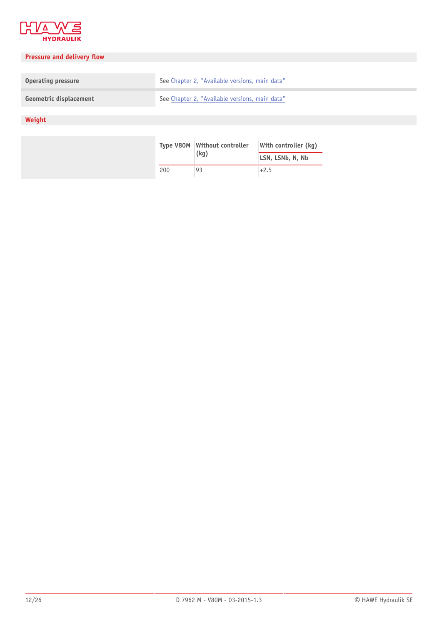

## **Pressure and delivery flow**

| <b>Operating pressure</b> | See Chapter 2, "Available versions, main data" |
|---------------------------|------------------------------------------------|
| Geometric displacement    | See Chapter 2, "Available versions, main data" |

## **Weight**

|     | Type V80M Without controller | With controller (kg) |
|-----|------------------------------|----------------------|
|     | (kq)                         | LSN, LSNb, N, Nb     |
| 200 | 93                           | $+2.5$               |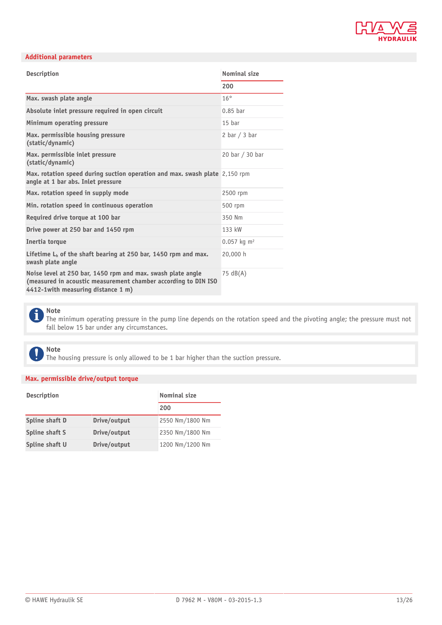

#### **Additional parameters**

| <b>Description</b>                                                                                                                                                  | <b>Nominal size</b>       |
|---------------------------------------------------------------------------------------------------------------------------------------------------------------------|---------------------------|
|                                                                                                                                                                     | 200                       |
| Max. swash plate angle                                                                                                                                              | $16^\circ$                |
| Absolute inlet pressure required in open circuit                                                                                                                    | $0.85$ bar                |
| Minimum operating pressure                                                                                                                                          | 15 <sub>bar</sub>         |
| Max. permissible housing pressure<br>(static/dynamic)                                                                                                               | 2 bar $/$ 3 bar           |
| Max. permissible inlet pressure<br>(static/dynamic)                                                                                                                 | 20 bar / 30 bar           |
| Max. rotation speed during suction operation and max. swash plate 2,150 rpm<br>angle at 1 bar abs. Inlet pressure                                                   |                           |
| Max. rotation speed in supply mode                                                                                                                                  | 2500 rpm                  |
| Min. rotation speed in continuous operation                                                                                                                         | 500 rpm                   |
| Required drive torque at 100 bar                                                                                                                                    | 350 Nm                    |
| Drive power at 250 bar and 1450 rpm                                                                                                                                 | 133 kW                    |
| Inertia torque                                                                                                                                                      | $0.057$ kg m <sup>2</sup> |
| Lifetime $L_h$ of the shaft bearing at 250 bar, 1450 rpm and max.<br>swash plate angle                                                                              | 20,000 h                  |
| Noise level at 250 bar, 1450 rpm and max. swash plate angle<br>(measured in acoustic measurement chamber according to DIN ISO<br>4412-1with measuring distance 1 m) | 75 $dB(A)$                |



The minimum operating pressure in the pump line depends on the rotation speed and the pivoting angle; the pressure must not fall below 15 bar under any circumstances.

#### **Note**  $\mathbf{\mathbf{I}}$

The housing pressure is only allowed to be 1 bar higher than the suction pressure.

#### **Max. permissible drive/output torque**

| <b>Description</b> |              | <b>Nominal size</b> |  |
|--------------------|--------------|---------------------|--|
|                    |              | 200                 |  |
| Spline shaft D     | Drive/output | 2550 Nm/1800 Nm     |  |
| Spline shaft S     | Drive/output | 2350 Nm/1800 Nm     |  |
| Spline shaft U     | Drive/output | 1200 Nm/1200 Nm     |  |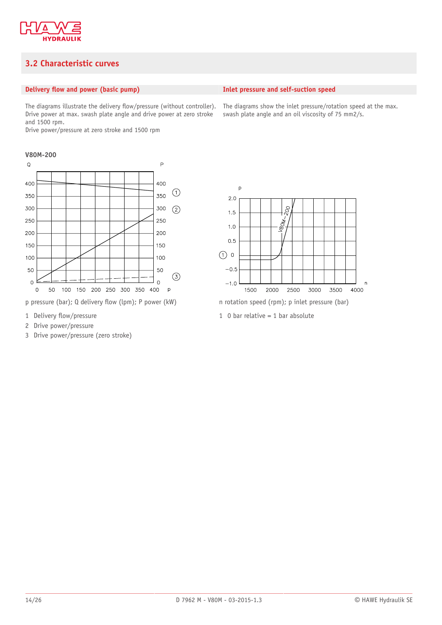

## <span id="page-13-0"></span>**3.2 Characteristic curves**

#### **Delivery flow and power (basic pump)**

The diagrams illustrate the delivery flow/pressure (without controller). Drive power at max. swash plate angle and drive power at zero stroke and 1500 rpm.

Drive power/pressure at zero stroke and 1500 rpm

#### **V80M-200**



p pressure (bar); Q delivery flow (lpm); P power (kW) n rotation speed (rpm); p inlet pressure (bar)

- 1 Delivery flow/pressure
- 2 Drive power/pressure
- 3 Drive power/pressure (zero stroke)

#### **Inlet pressure and self-suction speed**

The diagrams show the inlet pressure/rotation speed at the max. swash plate angle and an oil viscosity of 75 mm2/s.



1 0 bar relative  $= 1$  bar absolute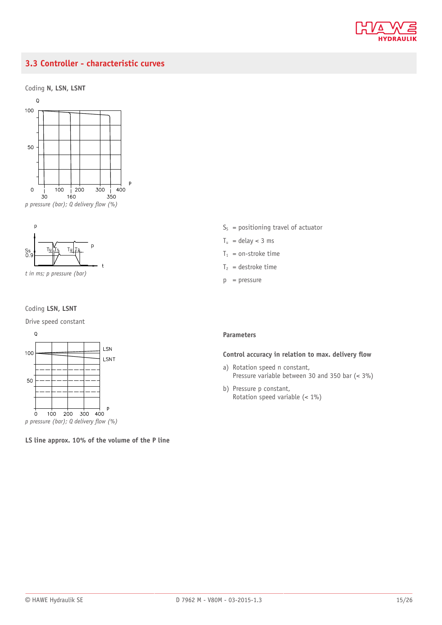

## <span id="page-14-0"></span>**3.3 Controller - characteristic curves**







*t in ms; p pressure (bar)*

#### Coding **LSN, LSNT**

Drive speed constant



**LS line approx. 10% of the volume of the P line**

- $S<sub>S</sub>$  = positioning travel of actuator
- $T_u$  = delay < 3 ms
- $T_1$  = on-stroke time
- $T_2$  = destroke time
- $p = pressure$

#### **Parameters**

#### **Control accuracy in relation to max. delivery flow**

- a) Rotation speed n constant, Pressure variable between 30 and 350 bar (< 3%)
- b) Pressure p constant, Rotation speed variable (< 1%)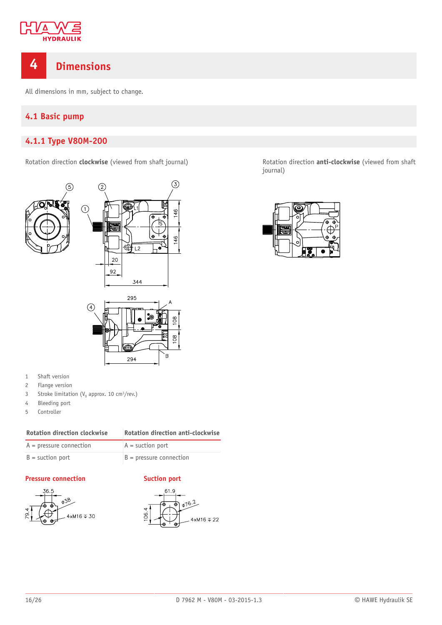

## <span id="page-15-0"></span>**4 Dimensions**

<span id="page-15-1"></span>All dimensions in mm, subject to change.

## **4.1 Basic pump**

## <span id="page-15-2"></span>**4.1.1 Type V80M-200**





- 1 Shaft version
- 2 Flange version
- 3 Stroke limitation ( $V_g$  approx. 10 cm<sup>3</sup>/rev.)
- 4 Bleeding port
- 5 Controller

| <b>Rotation direction clockwise</b> | Rotation direction anti-clockwise |  |
|-------------------------------------|-----------------------------------|--|
|-------------------------------------|-----------------------------------|--|

| $A = pressure connection$ | $A =$ suction port        |
|---------------------------|---------------------------|
| $B =$ suction port        | $B = pressure connection$ |

#### **Pressure connection Suction port**







Rotation direction **clockwise** (viewed from shaft journal) Rotation direction **anti-clockwise** (viewed from shaft journal)

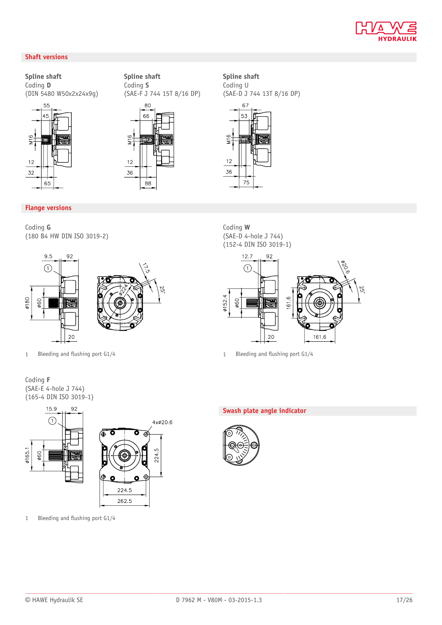

#### **Shaft versions**

**Spline shaft** Coding **D** (DIN 5480 W50x2x24x9g)



#### **Spline shaft** Coding **S** (SAE-F J 744 15T 8/16 DP)



#### **Spline shaft** Coding U (SAE-D J 744 13T 8/16 DP)



### **Flange versions**

Coding **G** (180 B4 HW DIN ISO 3019-2)



Coding **F** (SAE-E 4-hole J 744) (165-4 DIN ISO 3019-1)



1 Bleeding and flushing port  $G1/4$ 

Coding **W** (SAE-D 4-hole J 744) (152-4 DIN ISO 3019-1)



1 Bleeding and flushing port G1/4 1 Bleeding and flushing port G1/4

#### **Swash plate angle indicator**

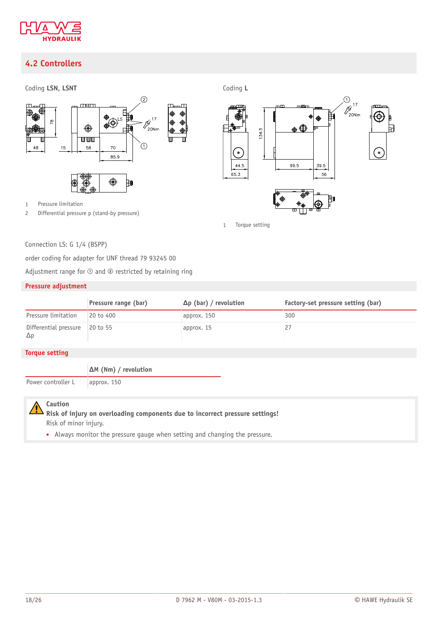

## <span id="page-17-0"></span>**4.2 Controllers**



Connection LS: G 1/4 (BSPP)

order coding for adapter for UNF thread 79 93245 00

Adjustment range for  $\odot$  and  $\odot$  restricted by retaining ring

#### **Pressure adjustment**

|                                     | Pressure range (bar) | $\Delta p$ (bar) / revolution | Factory-set pressure setting (bar) |
|-------------------------------------|----------------------|-------------------------------|------------------------------------|
| Pressure limitation                 | 20 to 400            | approx. 150                   | 300                                |
| Differential pressure<br>$\Delta p$ | $\vert$ 20 to 55     | approx. 15                    |                                    |

#### **Torque setting**

**ΔM (Nm) / revolution**

Power controller L approx. 150



**Risk of injury on overloading components due to incorrect pressure settings!** Risk of minor injury.

■ Always monitor the pressure gauge when setting and changing the pressure.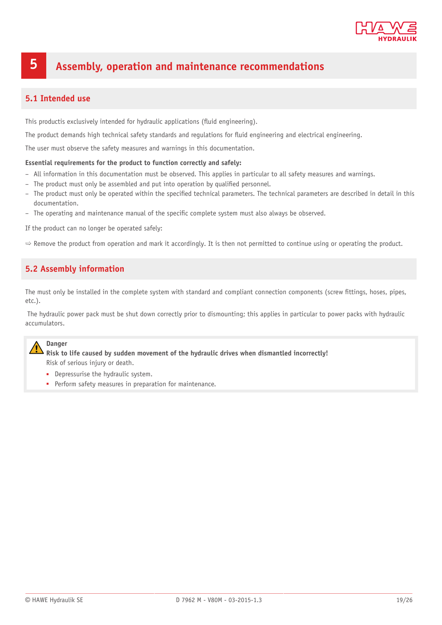

## <span id="page-18-0"></span>**5 Assembly, operation and maintenance recommendations**

### <span id="page-18-1"></span>**5.1 Intended use**

This productis exclusively intended for hydraulic applications (fluid engineering).

The product demands high technical safety standards and regulations for fluid engineering and electrical engineering.

The user must observe the safety measures and warnings in this documentation.

#### **Essential requirements for the product to function correctly and safely:**

- All information in this documentation must be observed. This applies in particular to all safety measures and warnings.
- The product must only be assembled and put into operation by qualified personnel.
- $-$  The product must only be operated within the specified technical parameters. The technical parameters are described in detail in this documentation.
- The operating and maintenance manual of the specific complete system must also always be observed.

If the product can no longer be operated safely:

<span id="page-18-2"></span> $\Rightarrow$  Remove the product from operation and mark it accordingly. It is then not permitted to continue using or operating the product.

### **5.2 Assembly information**

The must only be installed in the complete system with standard and compliant connection components (screw ttings, hoses, pipes, etc.).

 The hydraulic power pack must be shut down correctly prior to dismounting; this applies in particular to power packs with hydraulic accumulators.

#### **Danger**

**Risk to life caused by sudden movement of the hydraulic drives when dismantled incorrectly!** Risk of serious injury or death.

- Depressurise the hydraulic system.
- Perform safety measures in preparation for maintenance.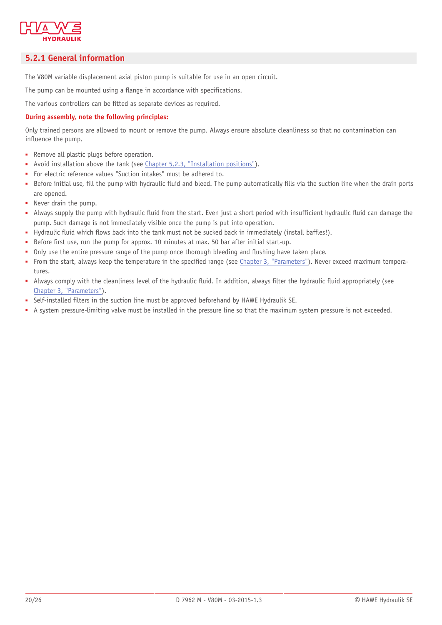

## <span id="page-19-0"></span>**5.2.1 General information**

The V80M variable displacement axial piston pump is suitable for use in an open circuit.

The pump can be mounted using a flange in accordance with specifications.

The various controllers can be fitted as separate devices as required.

#### **During assembly, note the following principles:**

Only trained persons are allowed to mount or remove the pump. Always ensure absolute cleanliness so that no contamination can influence the pump.

- Remove all plastic plugs before operation.
- Avoid installation above the tank (see [Chapter 5.2.3, "Installation positions"](#page-21-0)).
- For electric reference values "Suction intakes" must be adhered to.
- Before initial use, fill the pump with hydraulic fluid and bleed. The pump automatically fills via the suction line when the drain ports are opened.
- Never drain the pump.
- Always supply the pump with hydraulic fluid from the start. Even just a short period with insufficient hydraulic fluid can damage the pump. Such damage is not immediately visible once the pump is put into operation.
- Hydraulic fluid which flows back into the tank must not be sucked back in immediately (install baffles!).
- Before first use, run the pump for approx. 10 minutes at max. 50 bar after initial start-up.
- Only use the entire pressure range of the pump once thorough bleeding and flushing have taken place.
- From the start, always keep the temperature in the specified range (see [Chapter 3, "Parameters"\)](#page-10-0). Never exceed maximum temperatures.
- Always comply with the cleanliness level of the hydraulic fluid. In addition, always filter the hydraulic fluid appropriately (see [Chapter 3, "Parameters"](#page-10-0)).
- Self-installed filters in the suction line must be approved beforehand by HAWE Hydraulik SE.
- A system pressure-limiting valve must be installed in the pressure line so that the maximum system pressure is not exceeded.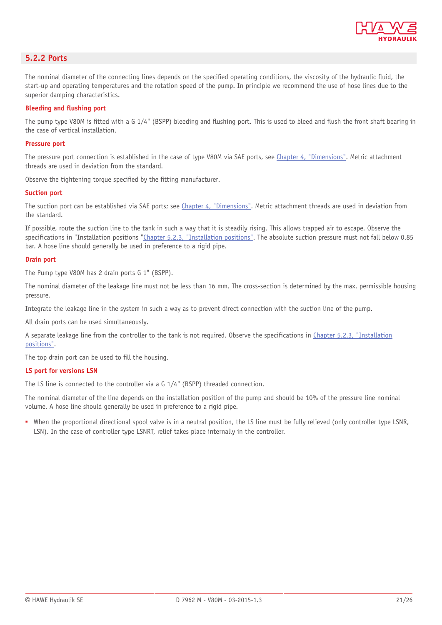

#### <span id="page-20-0"></span>**5.2.2 Ports**

The nominal diameter of the connecting lines depends on the specified operating conditions, the viscosity of the hydraulic fluid, the start-up and operating temperatures and the rotation speed of the pump. In principle we recommend the use of hose lines due to the superior damping characteristics.

#### **Bleeding and flushing port**

The pump type V80M is fitted with a G 1/4" (BSPP) bleeding and flushing port. This is used to bleed and flush the front shaft bearing in the case of vertical installation.

#### **Pressure port**

The pressure port connection is established in the case of type V80M via SAE ports, see [Chapter 4, "Dimensions".](#page-15-0) Metric attachment threads are used in deviation from the standard.

Observe the tightening torque specified by the fitting manufacturer.

#### **Suction port**

The suction port can be established via SAE ports; see [Chapter 4, "Dimensions"](#page-15-0). Metric attachment threads are used in deviation from the standard.

If possible, route the suction line to the tank in such a way that it is steadily rising. This allows trapped air to escape. Observe the specifications in "Installation positions ["Chapter 5.2.3, "Installation positions"](#page-21-0). The absolute suction pressure must not fall below 0.85 bar. A hose line should generally be used in preference to a rigid pipe.

#### **Drain port**

The Pump type V80M has 2 drain ports G 1" (BSPP).

The nominal diameter of the leakage line must not be less than 16 mm. The cross-section is determined by the max. permissible housing pressure.

Integrate the leakage line in the system in such a way as to prevent direct connection with the suction line of the pump.

All drain ports can be used simultaneously.

A separate leakage line from the controller to the tank is not required. Observe the specifications in [Chapter 5.2.3, "Installation](#page-21-0) [positions".](#page-21-0)

The top drain port can be used to fill the housing.

#### **LS port for versions LSN**

The LS line is connected to the controller via a G 1/4" (BSPP) threaded connection.

The nominal diameter of the line depends on the installation position of the pump and should be 10% of the pressure line nominal volume. A hose line should generally be used in preference to a rigid pipe.

■ When the proportional directional spool valve is in a neutral position, the LS line must be fully relieved (only controller type LSNR, LSN). In the case of controller type LSNRT, relief takes place internally in the controller.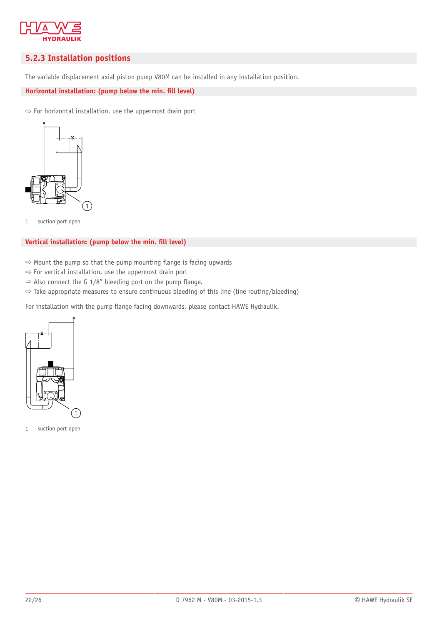

### <span id="page-21-0"></span>**5.2.3 Installation positions**

The variable displacement axial piston pump V80M can be installed in any installation position.

Horizontal installation: (pump below the min. fill level)

 $\Rightarrow$  For horizontal installation, use the uppermost drain port



1 suction port open

#### **Vertical installation: (pump below the min. fill level)**

- $\Rightarrow$  Mount the pump so that the pump mounting flange is facing upwards
- $\Rightarrow$  For vertical installation, use the uppermost drain port
- $\Rightarrow$  Also connect the G 1/8" bleeding port on the pump flange.
- $\Rightarrow$  Take appropriate measures to ensure continuous bleeding of this line (line routing/bleeding)

For installation with the pump flange facing downwards, please contact HAWE Hydraulik.



1 suction port open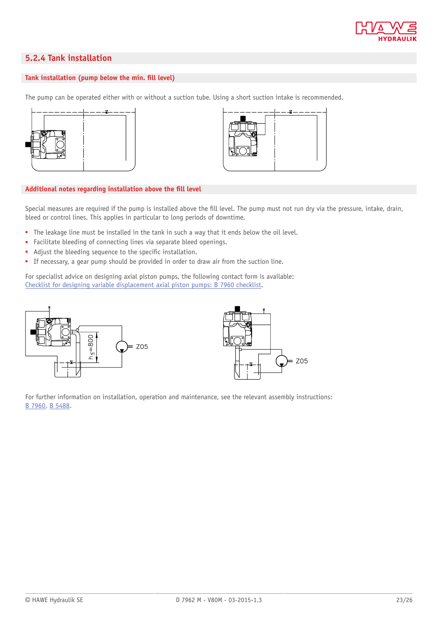

## <span id="page-22-0"></span>**5.2.4 Tank installation**

#### Tank installation (pump below the min. fill level)

The pump can be operated either with or without a suction tube. Using a short suction intake is recommended.





#### Additional notes regarding installation above the fill level

Special measures are required if the pump is installed above the fill level. The pump must not run dry via the pressure, intake, drain, bleed or control lines. This applies in particular to long periods of downtime.

- The leakage line must be installed in the tank in such a way that it ends below the oil level.
- Facilitate bleeding of connecting lines via separate bleed openings.
- Adjust the bleeding sequence to the specific installation.
- If necessary, a gear pump should be provided in order to draw air from the suction line.

For specialist advice on designing axial piston pumps, the following contact form is available: [Checklist for designing variable displacement axial piston pumps: B 7960 checklist.](http://www.hawe.de/fileadmin/content/typeman/catalog/Pdf/7/9/B7960-Installation-en.pdf)





For further information on installation, operation and maintenance, see the relevant assembly instructions: [B 7960](http://downloads.hawe.com/7/9/B7960-en.pdf), [B 5488.](http://downloads.hawe.com/5/4/B5488-en.pdf)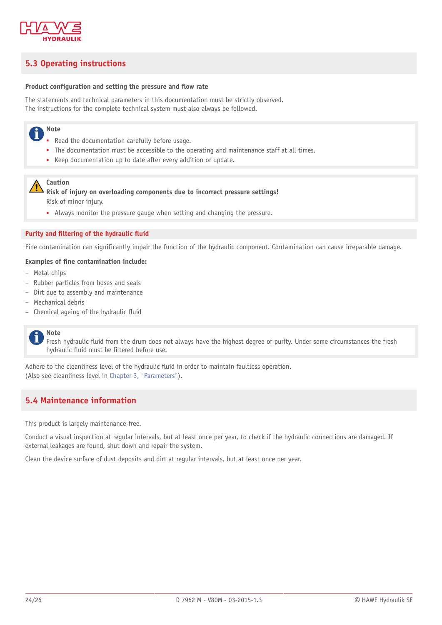

## <span id="page-23-0"></span>**5.3 Operating instructions**

#### **Product configuration and setting the pressure and flow rate**

The statements and technical parameters in this documentation must be strictly observed. The instructions for the complete technical system must also always be followed.

#### **Note** Ť

- Read the documentation carefully before usage.
- The documentation must be accessible to the operating and maintenance staff at all times.
- Keep documentation up to date after every addition or update.

#### **Caution**

**Risk of injury on overloading components due to incorrect pressure settings!** Risk of minor injury.

■ Always monitor the pressure gauge when setting and changing the pressure.

#### **Purity and filtering of the hydraulic fluid**

Fine contamination can significantly impair the function of the hydraulic component. Contamination can cause irreparable damage.

#### **Examples of fine contamination include:**

- Metal chips
- Rubber particles from hoses and seals
- Dirt due to assembly and maintenance
- Mechanical debris
- $-$  Chemical ageing of the hydraulic fluid

#### **Note** i

Fresh hydraulic fluid from the drum does not always have the highest degree of purity. Under some circumstances the fresh hydraulic fluid must be filtered before use.

Adhere to the cleanliness level of the hydraulic fluid in order to maintain faultless operation. (Also see cleanliness level in [Chapter 3, "Parameters"](#page-10-0)).

### <span id="page-23-1"></span>**5.4 Maintenance information**

This product is largely maintenance-free.

Conduct a visual inspection at regular intervals, but at least once per year, to check if the hydraulic connections are damaged. If external leakages are found, shut down and repair the system.

Clean the device surface of dust deposits and dirt at regular intervals, but at least once per year.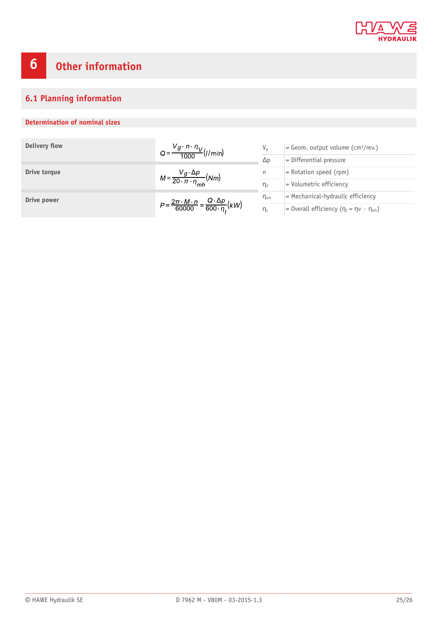

# <span id="page-24-0"></span>**6 Other information**

## <span id="page-24-1"></span>**6.1 Planning information**

### **Determination of nominal sizes**

| Delivery flow | $Q = \frac{V_g \cdot n \cdot \eta_V}{1000} (l/min)$                                      | V <sub>q</sub>  | $=$ Geom. output volume (cm <sup>3</sup> /rev.)             |
|---------------|------------------------------------------------------------------------------------------|-----------------|-------------------------------------------------------------|
|               |                                                                                          | $\Delta p$      | $=$ Differential pressure                                   |
| Drive torque  | $M = \frac{V_g \cdot \Delta p}{20 \cdot \pi \cdot \eta_{mh}} (Nm)$                       | n               | $=$ Rotation speed (rpm)                                    |
|               |                                                                                          | $\eta_v$        | = Volumetric efficiency                                     |
| Drive power   | $P = \frac{2\pi \cdot M \cdot n}{60000} = \frac{Q \cdot \Delta p}{600 \cdot \eta_i}(kW)$ | $\eta_{\rm mb}$ | $=$ Mechanical-hydraulic efficiency                         |
|               |                                                                                          | $\eta_t$        | = 0verall efficiency $(\eta_t = \eta \vee \cdot \eta_{mh})$ |